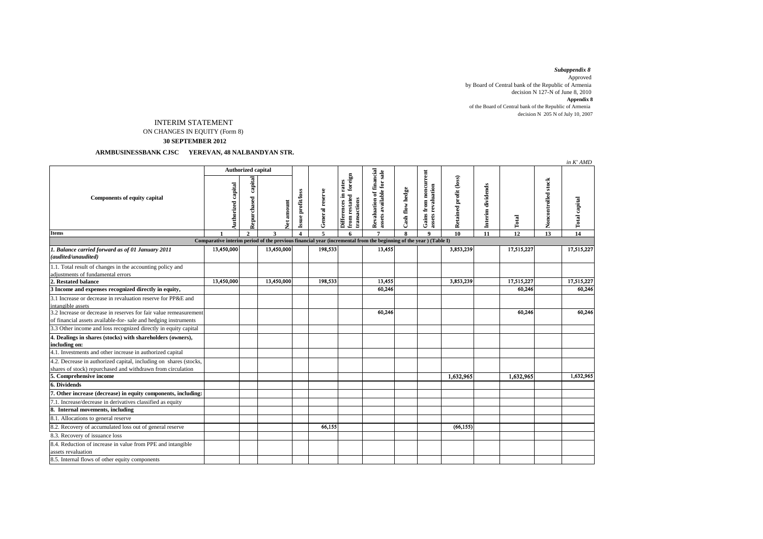*Subappendix 8*  Approved by Board of Central bank of the Republic of Armenia decision N 127-N of June 8, 2010 **Appendix 8** of the Board of Central bank of the Republic of Armenia decision N 205 N of July 10, 2007

## INTERIM STATEMENT ON CHANGES IN EQUITY (Form 8)

 **30 SEPTEMBER 2012**

 **ARMBUSINESSBANK CJSC YEREVAN, 48 NALBANDYAN STR.**

|                                                                                                                                      |                                                                                                                  |                        |                   |                   |                 |                                                                     |                                                       |                 |                                             |                        |                   |            |                     | in K' AMD            |
|--------------------------------------------------------------------------------------------------------------------------------------|------------------------------------------------------------------------------------------------------------------|------------------------|-------------------|-------------------|-----------------|---------------------------------------------------------------------|-------------------------------------------------------|-----------------|---------------------------------------------|------------------------|-------------------|------------|---------------------|----------------------|
| Components of equity capital                                                                                                         | <b>Authorized capital</b>                                                                                        |                        |                   |                   |                 |                                                                     |                                                       |                 |                                             |                        |                   |            |                     |                      |
|                                                                                                                                      | Authorized capital                                                                                               | capital<br>Repurchased | <b>Net amount</b> | Issue profit/loss | General reserve | foreign<br>rates<br>Differences in<br>from restated<br>transactions | Revaluation of financial<br>assets available for sale | Cash flow hedge | Gains from noncurrent<br>assets revaluation | Retained profit (loss) | Interim dividends | Total      | Noncontrolled stock | <b>Total capital</b> |
| Items                                                                                                                                |                                                                                                                  | $\mathbf{2}$           |                   | $\Delta$          | $\overline{5}$  | 6                                                                   | $\overline{7}$                                        | $\bf{8}$        | $\mathbf{Q}$                                | 10                     | 11                | 12         | 13                  | 14                   |
|                                                                                                                                      | Comparative interim period of the previous financial year (incremental from the beginning of the year) (Table I) |                        |                   |                   |                 |                                                                     |                                                       |                 |                                             |                        |                   |            |                     |                      |
| 1. Balance carried forward as of 01 January 2011<br>(audited/unaudited)                                                              | 13,450,000                                                                                                       |                        | 13,450,000        |                   | 198,533         |                                                                     | 13,455                                                |                 |                                             | 3,853,239              |                   | 17,515,227 |                     | 17,515,227           |
| 1.1. Total result of changes in the accounting policy and<br>adiustments of fundamental errors                                       |                                                                                                                  |                        |                   |                   |                 |                                                                     |                                                       |                 |                                             |                        |                   |            |                     |                      |
| 2. Restated balance                                                                                                                  | 13,450,000                                                                                                       |                        | 13,450,000        |                   | 198,533         |                                                                     | 13,455                                                |                 |                                             | 3,853,239              |                   | 17,515,227 |                     | 17,515,227           |
| 3 Income and expenses recognized directly in equity,                                                                                 |                                                                                                                  |                        |                   |                   |                 |                                                                     | 60,246                                                |                 |                                             |                        |                   | 60,246     |                     | 60,246               |
| 3.1 Increase or decrease in revaluation reserve for PP&E and                                                                         |                                                                                                                  |                        |                   |                   |                 |                                                                     |                                                       |                 |                                             |                        |                   |            |                     |                      |
| intangible assets                                                                                                                    |                                                                                                                  |                        |                   |                   |                 |                                                                     |                                                       |                 |                                             |                        |                   |            |                     |                      |
| 3.2 Increase or decrease in reserves for fair value remeasurement<br>of financial assets available-for- sale and hedging instruments |                                                                                                                  |                        |                   |                   |                 |                                                                     | 60,246                                                |                 |                                             |                        |                   | 60,246     |                     | 60,246               |
| 3.3 Other income and loss recognized directly in equity capital                                                                      |                                                                                                                  |                        |                   |                   |                 |                                                                     |                                                       |                 |                                             |                        |                   |            |                     |                      |
| 4. Dealings in shares (stocks) with shareholders (owners),<br>including on:                                                          |                                                                                                                  |                        |                   |                   |                 |                                                                     |                                                       |                 |                                             |                        |                   |            |                     |                      |
| 4.1. Investments and other increase in authorized capital                                                                            |                                                                                                                  |                        |                   |                   |                 |                                                                     |                                                       |                 |                                             |                        |                   |            |                     |                      |
| 4.2. Decrease in authorized capital, including on shares (stocks,<br>shares of stock) repurchased and withdrawn from circulation     |                                                                                                                  |                        |                   |                   |                 |                                                                     |                                                       |                 |                                             |                        |                   |            |                     |                      |
| 5. Comprehensive income                                                                                                              |                                                                                                                  |                        |                   |                   |                 |                                                                     |                                                       |                 |                                             | 1,632,965              |                   | 1,632,965  |                     | 1,632,965            |
| 6. Dividends                                                                                                                         |                                                                                                                  |                        |                   |                   |                 |                                                                     |                                                       |                 |                                             |                        |                   |            |                     |                      |
| 7. Other increase (decrease) in equity components, including:                                                                        |                                                                                                                  |                        |                   |                   |                 |                                                                     |                                                       |                 |                                             |                        |                   |            |                     |                      |
| 7.1. Increase/decrease in derivatives classified as equity                                                                           |                                                                                                                  |                        |                   |                   |                 |                                                                     |                                                       |                 |                                             |                        |                   |            |                     |                      |
| 8. Internal movements, including                                                                                                     |                                                                                                                  |                        |                   |                   |                 |                                                                     |                                                       |                 |                                             |                        |                   |            |                     |                      |
| 8.1. Allocations to general reserve                                                                                                  |                                                                                                                  |                        |                   |                   |                 |                                                                     |                                                       |                 |                                             |                        |                   |            |                     |                      |
| 8.2. Recovery of accumulated loss out of general reserve                                                                             |                                                                                                                  |                        |                   |                   | 66,155          |                                                                     |                                                       |                 |                                             | (66, 155)              |                   |            |                     |                      |
| 8.3. Recovery of issuance loss                                                                                                       |                                                                                                                  |                        |                   |                   |                 |                                                                     |                                                       |                 |                                             |                        |                   |            |                     |                      |
| 8.4. Reduction of increase in value from PPE and intangible<br>assets revaluation                                                    |                                                                                                                  |                        |                   |                   |                 |                                                                     |                                                       |                 |                                             |                        |                   |            |                     |                      |
| 8.5. Internal flows of other equity components                                                                                       |                                                                                                                  |                        |                   |                   |                 |                                                                     |                                                       |                 |                                             |                        |                   |            |                     |                      |